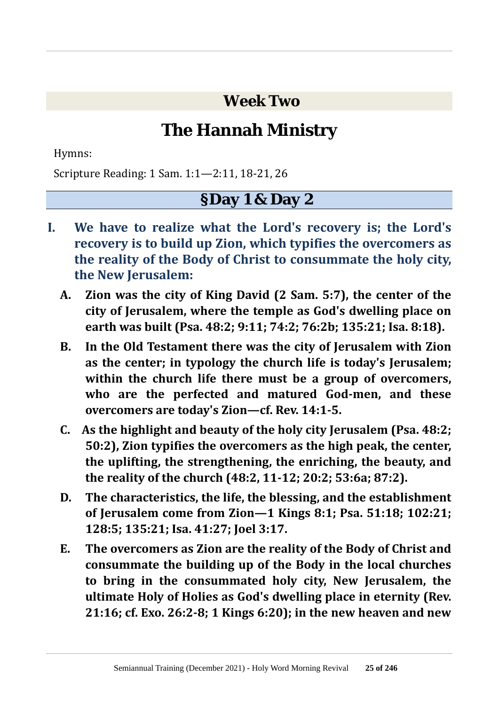**Week Two**

# **The Hannah Ministry**

Hymns:

Scripture Reading: 1 Sam. 1:1—2:11, 18-21, 26

### **§Day 1 & Day 2**

- **I. We have to realize what the Lord's recovery is; the Lord's recovery is to build up Zion, which typifies the overcomers as the reality of the Body of Christ to consummate the holy city, the New Jerusalem:**
	- **A. Zion was the city of King David (2 Sam. 5:7), the center of the city of Jerusalem, where the temple as God's dwelling place on earth was built (Psa. 48:2; 9:11; 74:2; 76:2b; 135:21; Isa. 8:18).**
	- **B. In the Old Testament there was the city of Jerusalem with Zion as the center; in typology the church life is today's Jerusalem; within the church life there must be a group of overcomers, who are the perfected and matured God-men, and these overcomers are today's Zion—cf. Rev. 14:1-5.**
	- **C. As the highlight and beauty of the holy city Jerusalem (Psa. 48:2; 50:2), Zion typifies the overcomers as the high peak, the center, the uplifting, the strengthening, the enriching, the beauty, and the reality of the church (48:2, 11-12; 20:2; 53:6a; 87:2).**
	- **D. The characteristics, the life, the blessing, and the establishment of Jerusalem come from Zion—1 Kings 8:1; Psa. 51:18; 102:21; 128:5; 135:21; Isa. 41:27; Joel 3:17.**
	- **E. The overcomers as Zion are the reality of the Body of Christ and consummate the building up of the Body in the local churches to bring in the consummated holy city, New Jerusalem, the ultimate Holy of Holies as God's dwelling place in eternity (Rev. 21:16; cf. Exo. 26:2-8; 1 Kings 6:20); in the new heaven and new**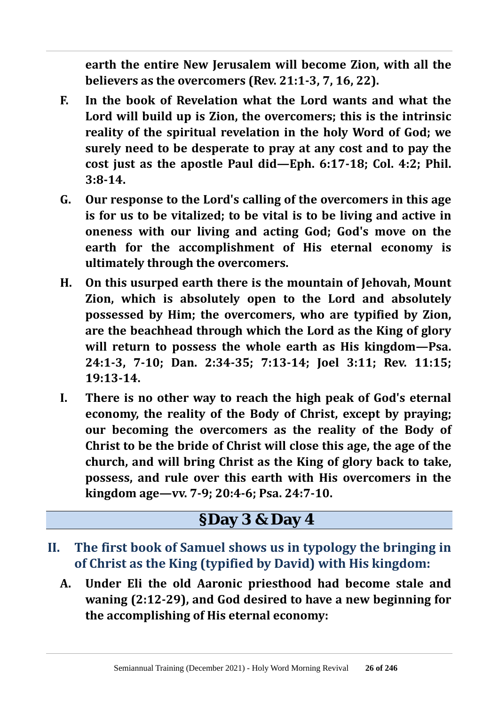**earth the entire New Jerusalem will become Zion, with all the believers as the overcomers (Rev. 21:1-3, 7, 16, 22).**

- **F. In the book of Revelation what the Lord wants and what the Lord will build up is Zion, the overcomers; this is the intrinsic reality of the spiritual revelation in the holy Word of God; we surely need to be desperate to pray at any cost and to pay the cost just as the apostle Paul did—Eph. 6:17-18; Col. 4:2; Phil. 3:8-14.**
- **G. Our response to the Lord's calling of the overcomers in this age is for us to be vitalized; to be vital is to be living and active in oneness with our living and acting God; God's move on the earth for the accomplishment of His eternal economy is ultimately through the overcomers.**
- **H. On this usurped earth there is the mountain of Jehovah, Mount Zion, which is absolutely open to the Lord and absolutely possessed by Him; the overcomers, who are typified by Zion, are the beachhead through which the Lord as the King of glory will return to possess the whole earth as His kingdom—Psa. 24:1-3, 7-10; Dan. 2:34-35; 7:13-14; Joel 3:11; Rev. 11:15; 19:13-14.**
- **I. There is no other way to reach the high peak of God's eternal economy, the reality of the Body of Christ, except by praying; our becoming the overcomers as the reality of the Body of Christ to be the bride of Christ will close this age, the age of the church, and will bring Christ as the King of glory back to take, possess, and rule over this earth with His overcomers in the kingdom age—vv. 7-9; 20:4-6; Psa. 24:7-10.**

## **§Day 3 & Day 4**

- **II. The first book of Samuel shows us in typology the bringing in of Christ as the King (typified by David) with His kingdom:**
	- **A. Under Eli the old Aaronic priesthood had become stale and waning (2:12-29), and God desired to have a new beginning for the accomplishing of His eternal economy:**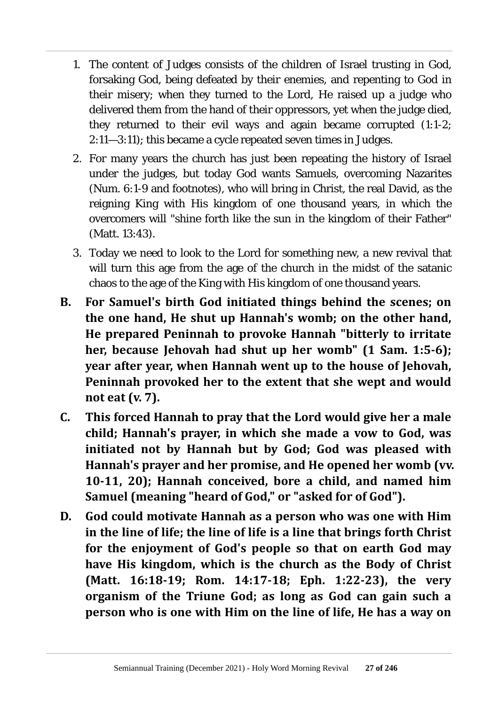- 1. The content of Judges consists of the children of Israel trusting in God, forsaking God, being defeated by their enemies, and repenting to God in their misery; when they turned to the Lord, He raised up a judge who delivered them from the hand of their oppressors, yet when the judge died, they returned to their evil ways and again became corrupted (1:1-2; 2:11—3:11); this became a cycle repeated seven times in Judges.
- 2. For many years the church has just been repeating the history of Israel under the judges, but today God wants Samuels, overcoming Nazarites (Num. 6:1-9 and footnotes), who will bring in Christ, the real David, as the reigning King with His kingdom of one thousand years, in which the overcomers will "shine forth like the sun in the kingdom of their Father" (Matt. 13:43).
- 3. Today we need to look to the Lord for something new, a new revival that will turn this age from the age of the church in the midst of the satanic chaos to the age of the King with His kingdom of one thousand years.
- **B. For Samuel's birth God initiated things behind the scenes; on the one hand, He shut up Hannah's womb; on the other hand, He prepared Peninnah to provoke Hannah "bitterly to irritate her, because Jehovah had shut up her womb" (1 Sam. 1:5-6); year after year, when Hannah went up to the house of Jehovah, Peninnah provoked her to the extent that she wept and would not eat (v. 7).**
- **C. This forced Hannah to pray that the Lord would give her a male child; Hannah's prayer, in which she made a vow to God, was initiated not by Hannah but by God; God was pleased with Hannah's prayer and her promise, and He opened her womb (vv. 10-11, 20); Hannah conceived, bore a child, and named him Samuel (meaning "heard of God," or "asked for of God").**
- **D. God could motivate Hannah as a person who was one with Him in the line of life; the line of life is a line that brings forth Christ for the enjoyment of God's people so that on earth God may have His kingdom, which is the church as the Body of Christ (Matt. 16:18-19; Rom. 14:17-18; Eph. 1:22-23), the very organism of the Triune God; as long as God can gain such a person who is one with Him on the line of life, He has a way on**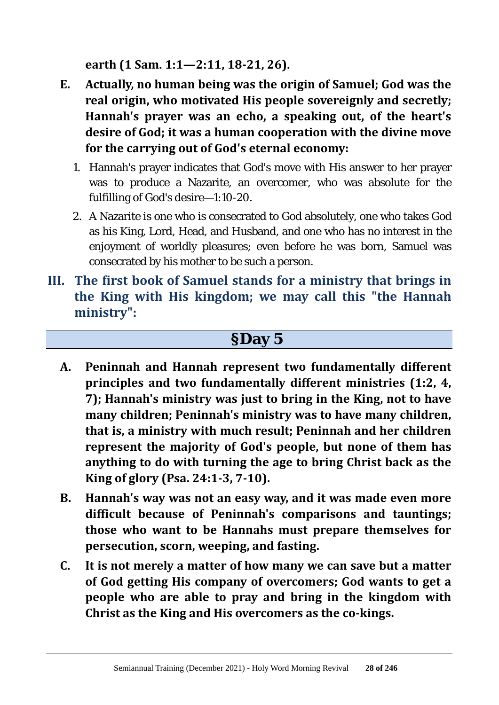**earth (1 Sam. 1:1—2:11, 18-21, 26).**

- **E. Actually, no human being was the origin of Samuel; God was the real origin, who motivated His people sovereignly and secretly; Hannah's prayer was an echo, a speaking out, of the heart's desire of God; it was a human cooperation with the divine move for the carrying out of God's eternal economy:**
	- 1. Hannah's prayer indicates that God's move with His answer to her prayer was to produce a Nazarite, an overcomer, who was absolute for the fulfilling of God's desire—1:10-20.
	- 2. A Nazarite is one who is consecrated to God absolutely, one who takes God as his King, Lord, Head, and Husband, and one who has no interest in the enjoyment of worldly pleasures; even before he was born, Samuel was consecrated by his mother to be such a person.
- **III. The first book of Samuel stands for a ministry that brings in the King with His kingdom; we may call this "the Hannah ministry":**

#### **§Day 5**

- **A. Peninnah and Hannah represent two fundamentally different principles and two fundamentally different ministries (1:2, 4, 7); Hannah's ministry was just to bring in the King, not to have many children; Peninnah's ministry was to have many children, that is, a ministry with much result; Peninnah and her children represent the majority of God's people, but none of them has anything to do with turning the age to bring Christ back as the King of glory (Psa. 24:1-3, 7-10).**
- **B. Hannah's way was not an easy way, and it was made even more difficult because of Peninnah's comparisons and tauntings; those who want to be Hannahs must prepare themselves for persecution, scorn, weeping, and fasting.**
- **C. It is not merely a matter of how many we can save but a matter of God getting His company of overcomers; God wants to get a people who are able to pray and bring in the kingdom with Christ as the King and His overcomers as the co-kings.**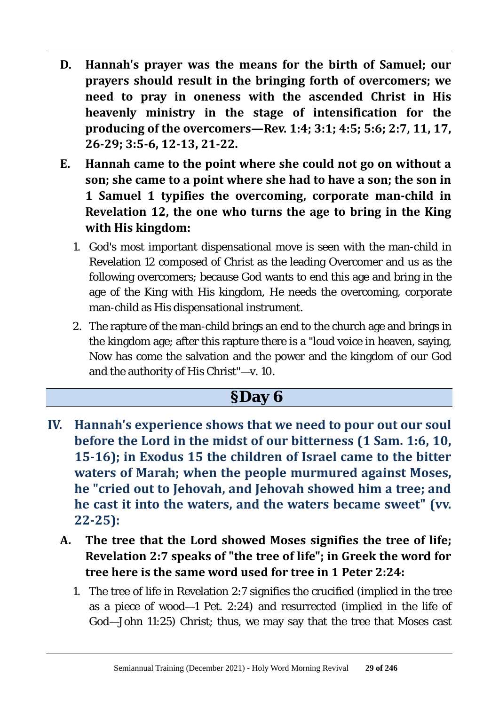- **D. Hannah's prayer was the means for the birth of Samuel; our prayers should result in the bringing forth of overcomers; we need to pray in oneness with the ascended Christ in His heavenly ministry in the stage of intensification for the producing of the overcomers—Rev. 1:4; 3:1; 4:5; 5:6; 2:7, 11, 17, 26-29; 3:5-6, 12-13, 21-22.**
- **E. Hannah came to the point where she could not go on without a son; she came to a point where she had to have a son; the son in 1 Samuel 1 typifies the overcoming, corporate man-child in Revelation 12, the one who turns the age to bring in the King with His kingdom:**
	- 1. God's most important dispensational move is seen with the man-child in Revelation 12 composed of Christ as the leading Overcomer and us as the following overcomers; because God wants to end this age and bring in the age of the King with His kingdom, He needs the overcoming, corporate man-child as His dispensational instrument.
	- 2. The rapture of the man-child brings an end to the church age and brings in the kingdom age; after this rapture there is a "loud voice in heaven, saying, Now has come the salvation and the power and the kingdom of our God and the authority of His Christ"—v. 10.

### **§Day 6**

- **IV. Hannah's experience shows that we need to pour out our soul before the Lord in the midst of our bitterness (1 Sam. 1:6, 10, 15-16); in Exodus 15 the children of Israel came to the bitter waters of Marah; when the people murmured against Moses, he "cried out to Jehovah, and Jehovah showed him a tree; and he cast it into the waters, and the waters became sweet" (vv. 22-25):**
	- **A. The tree that the Lord showed Moses signifies the tree of life; Revelation 2:7 speaks of "the tree of life"; in Greek the word for tree here is the same word used for tree in 1 Peter 2:24:**
		- 1. The tree of life in Revelation 2:7 signifies the crucified (implied in the tree as a piece of wood—1 Pet. 2:24) and resurrected (implied in the life of God—John 11:25) Christ; thus, we may say that the tree that Moses cast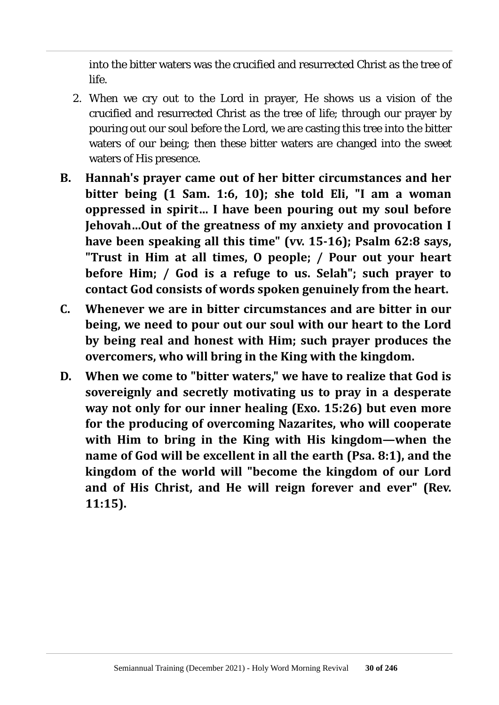into the bitter waters was the crucified and resurrected Christ as the tree of life.

- 2. When we cry out to the Lord in prayer, He shows us a vision of the crucified and resurrected Christ as the tree of life; through our prayer by pouring out our soul before the Lord, we are casting this tree into the bitter waters of our being; then these bitter waters are changed into the sweet waters of His presence.
- **B. Hannah's prayer came out of her bitter circumstances and her bitter being (1 Sam. 1:6, 10); she told Eli, "I am a woman oppressed in spirit… I have been pouring out my soul before Jehovah…Out of the greatness of my anxiety and provocation I have been speaking all this time" (vv. 15-16); Psalm 62:8 says, "Trust in Him at all times, O people; / Pour out your heart before Him; / God is a refuge to us. Selah"; such prayer to contact God consists of words spoken genuinely from the heart.**
- **C. Whenever we are in bitter circumstances and are bitter in our being, we need to pour out our soul with our heart to the Lord by being real and honest with Him; such prayer produces the overcomers, who will bring in the King with the kingdom.**
- **D. When we come to "bitter waters," we have to realize that God is sovereignly and secretly motivating us to pray in a desperate way not only for our inner healing (Exo. 15:26) but even more for the producing of overcoming Nazarites, who will cooperate with Him to bring in the King with His kingdom—when the name of God will be excellent in all the earth (Psa. 8:1), and the kingdom of the world will "become the kingdom of our Lord and of His Christ, and He will reign forever and ever" (Rev. 11:15).**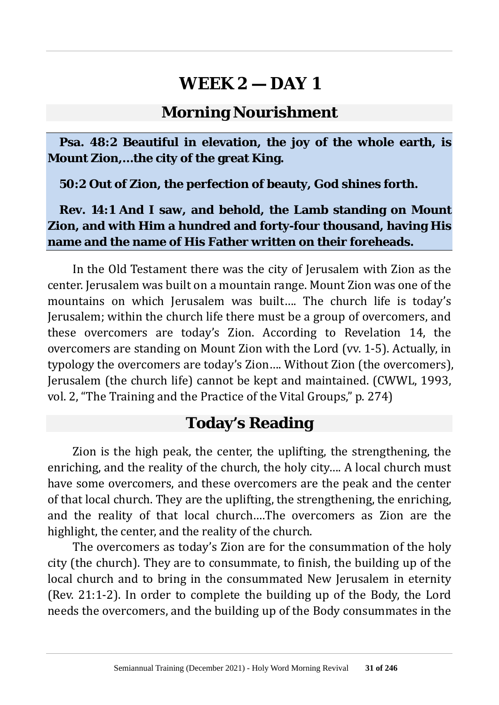#### **Morning Nourishment**

**Psa. 48:2 Beautiful in elevation, the joy of the whole earth, is Mount Zion,…the city of the great King.**

**50:2 Out of Zion, the perfection of beauty, God shines forth.**

#### **Rev. 14:1 And I saw, and behold, the Lamb standing on Mount Zion, and with Him a hundred and forty-four thousand, having His name and the name of His Father written on their foreheads.**

In the Old Testament there was the city of Jerusalem with Zion as the center. Jerusalem was built on a mountain range. Mount Zion was one of the mountains on which Jerusalem was built…. The church life is today's Jerusalem; within the church life there must be a group of overcomers, and these overcomers are today's Zion. According to Revelation 14, the overcomers are standing on Mount Zion with the Lord (vv. 1-5). Actually, in typology the overcomers are today's Zion…. Without Zion (the overcomers), Jerusalem (the church life) cannot be kept and maintained. (CWWL, 1993, vol. 2, "The Training and the Practice of the Vital Groups," p. 274)

### **Today's Reading**

Zion is the high peak, the center, the uplifting, the strengthening, the enriching, and the reality of the church, the holy city…. A local church must have some overcomers, and these overcomers are the peak and the center of that local church. They are the uplifting, the strengthening, the enriching, and the reality of that local church….The overcomers as Zion are the highlight, the center, and the reality of the church.

The overcomers as today's Zion are for the consummation of the holy city (the church). They are to consummate, to finish, the building up of the local church and to bring in the consummated New Jerusalem in eternity (Rev. 21:1-2). In order to complete the building up of the Body, the Lord needs the overcomers, and the building up of the Body consummates in the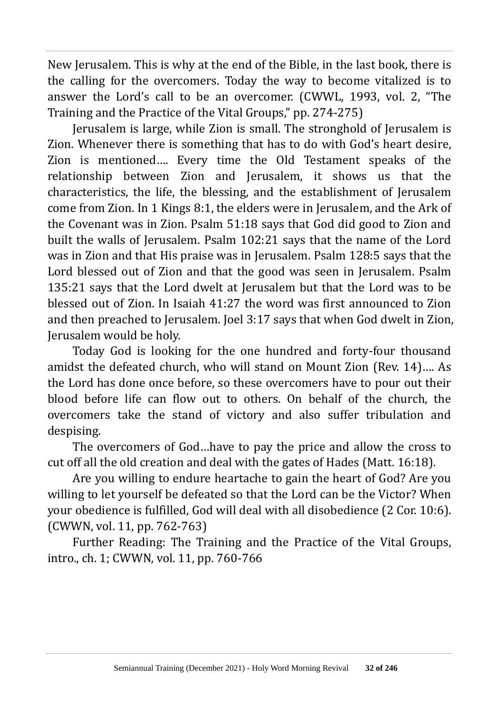New Jerusalem. This is why at the end of the Bible, in the last book, there is the calling for the overcomers. Today the way to become vitalized is to answer the Lord's call to be an overcomer. (CWWL, 1993, vol. 2, "The Training and the Practice of the Vital Groups," pp. 274-275)

Jerusalem is large, while Zion is small. The stronghold of Jerusalem is Zion. Whenever there is something that has to do with God's heart desire, Zion is mentioned…. Every time the Old Testament speaks of the relationship between Zion and Jerusalem, it shows us that the characteristics, the life, the blessing, and the establishment of Jerusalem come from Zion. In 1 Kings 8:1, the elders were in Jerusalem, and the Ark of the Covenant was in Zion. Psalm 51:18 says that God did good to Zion and built the walls of Jerusalem. Psalm 102:21 says that the name of the Lord was in Zion and that His praise was in Jerusalem. Psalm 128:5 says that the Lord blessed out of Zion and that the good was seen in Jerusalem. Psalm 135:21 says that the Lord dwelt at Jerusalem but that the Lord was to be blessed out of Zion. In Isaiah 41:27 the word was first announced to Zion and then preached to Jerusalem. Joel 3:17 says that when God dwelt in Zion, Jerusalem would be holy.

Today God is looking for the one hundred and forty-four thousand amidst the defeated church, who will stand on Mount Zion (Rev. 14)…. As the Lord has done once before, so these overcomers have to pour out their blood before life can flow out to others. On behalf of the church, the overcomers take the stand of victory and also suffer tribulation and despising.

The overcomers of God…have to pay the price and allow the cross to cut off all the old creation and deal with the gates of Hades (Matt. 16:18).

Are you willing to endure heartache to gain the heart of God? Are you willing to let yourself be defeated so that the Lord can be the Victor? When your obedience is fulfilled, God will deal with all disobedience (2 Cor. 10:6). (CWWN, vol. 11, pp. 762-763)

Further Reading: The Training and the Practice of the Vital Groups, intro., ch. 1; CWWN, vol. 11, pp. 760-766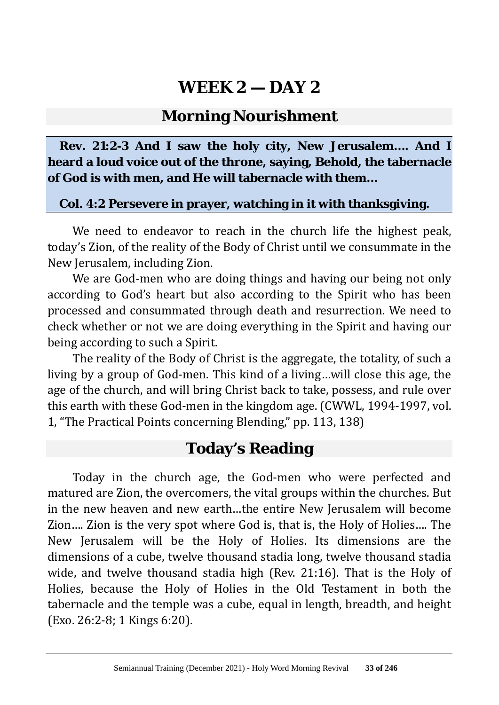#### **Morning Nourishment**

**Rev. 21:2-3 And I saw the holy city, New Jerusalem…. And I heard a loud voice out of the throne, saying, Behold, the tabernacle of God is with men, and He will tabernacle with them…**

#### **Col. 4:2 Persevere in prayer, watching in it with thanksgiving.**

We need to endeavor to reach in the church life the highest peak, today's Zion, of the reality of the Body of Christ until we consummate in the New Jerusalem, including Zion.

We are God-men who are doing things and having our being not only according to God's heart but also according to the Spirit who has been processed and consummated through death and resurrection. We need to check whether or not we are doing everything in the Spirit and having our being according to such a Spirit.

The reality of the Body of Christ is the aggregate, the totality, of such a living by a group of God-men. This kind of a living…will close this age, the age of the church, and will bring Christ back to take, possess, and rule over this earth with these God-men in the kingdom age. (CWWL, 1994-1997, vol. 1, "The Practical Points concerning Blending," pp. 113, 138)

### **Today's Reading**

Today in the church age, the God-men who were perfected and matured are Zion, the overcomers, the vital groups within the churches. But in the new heaven and new earth…the entire New Jerusalem will become Zion…. Zion is the very spot where God is, that is, the Holy of Holies…. The New Jerusalem will be the Holy of Holies. Its dimensions are the dimensions of a cube, twelve thousand stadia long, twelve thousand stadia wide, and twelve thousand stadia high (Rev. 21:16). That is the Holy of Holies, because the Holy of Holies in the Old Testament in both the tabernacle and the temple was a cube, equal in length, breadth, and height (Exo. 26:2-8; 1 Kings 6:20).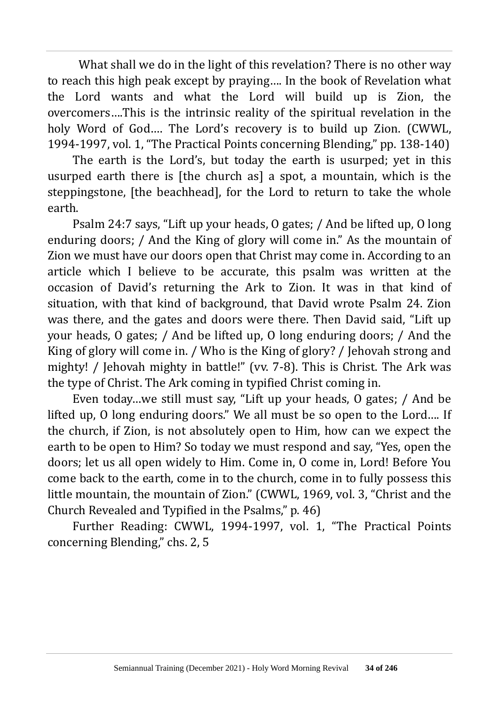What shall we do in the light of this revelation? There is no other way to reach this high peak except by praying…. In the book of Revelation what the Lord wants and what the Lord will build up is Zion, the overcomers….This is the intrinsic reality of the spiritual revelation in the holy Word of God…. The Lord's recovery is to build up Zion. (CWWL, 1994-1997, vol. 1, "The Practical Points concerning Blending," pp. 138-140)

The earth is the Lord's, but today the earth is usurped; yet in this usurped earth there is [the church as] a spot, a mountain, which is the steppingstone, [the beachhead], for the Lord to return to take the whole earth.

Psalm 24:7 says, "Lift up your heads, O gates; / And be lifted up, O long enduring doors; / And the King of glory will come in." As the mountain of Zion we must have our doors open that Christ may come in. According to an article which I believe to be accurate, this psalm was written at the occasion of David's returning the Ark to Zion. It was in that kind of situation, with that kind of background, that David wrote Psalm 24. Zion was there, and the gates and doors were there. Then David said, "Lift up your heads, O gates; / And be lifted up, O long enduring doors; / And the King of glory will come in. / Who is the King of glory? / Jehovah strong and mighty! / Jehovah mighty in battle!" (vv. 7-8). This is Christ. The Ark was the type of Christ. The Ark coming in typified Christ coming in.

Even today…we still must say, "Lift up your heads, O gates; / And be lifted up, O long enduring doors." We all must be so open to the Lord…. If the church, if Zion, is not absolutely open to Him, how can we expect the earth to be open to Him? So today we must respond and say, "Yes, open the doors; let us all open widely to Him. Come in, O come in, Lord! Before You come back to the earth, come in to the church, come in to fully possess this little mountain, the mountain of Zion." (CWWL, 1969, vol. 3, "Christ and the Church Revealed and Typified in the Psalms," p. 46)

Further Reading: CWWL, 1994-1997, vol. 1, "The Practical Points concerning Blending," chs. 2, 5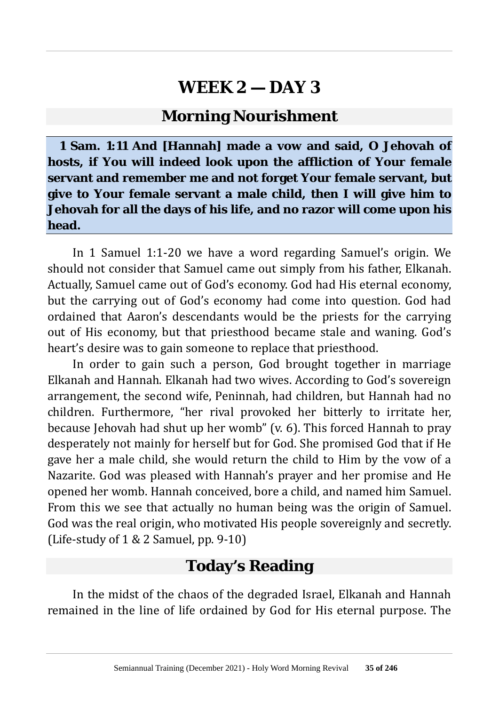#### **Morning Nourishment**

**1 Sam. 1:11 And [Hannah] made a vow and said, O Jehovah of hosts, if You will indeed look upon the affliction of Your female servant and remember me and not forget Your female servant, but give to Your female servant a male child, then I will give him to Jehovah for all the days of his life, and no razor will come upon his head.**

In 1 Samuel 1:1-20 we have a word regarding Samuel's origin. We should not consider that Samuel came out simply from his father, Elkanah. Actually, Samuel came out of God's economy. God had His eternal economy, but the carrying out of God's economy had come into question. God had ordained that Aaron's descendants would be the priests for the carrying out of His economy, but that priesthood became stale and waning. God's heart's desire was to gain someone to replace that priesthood.

In order to gain such a person, God brought together in marriage Elkanah and Hannah. Elkanah had two wives. According to God's sovereign arrangement, the second wife, Peninnah, had children, but Hannah had no children. Furthermore, "her rival provoked her bitterly to irritate her, because Jehovah had shut up her womb" (v. 6). This forced Hannah to pray desperately not mainly for herself but for God. She promised God that if He gave her a male child, she would return the child to Him by the vow of a Nazarite. God was pleased with Hannah's prayer and her promise and He opened her womb. Hannah conceived, bore a child, and named him Samuel. From this we see that actually no human being was the origin of Samuel. God was the real origin, who motivated His people sovereignly and secretly. (Life-study of  $1 & 2$  Samuel, pp. 9-10)

#### **Today's Reading**

In the midst of the chaos of the degraded Israel, Elkanah and Hannah remained in the line of life ordained by God for His eternal purpose. The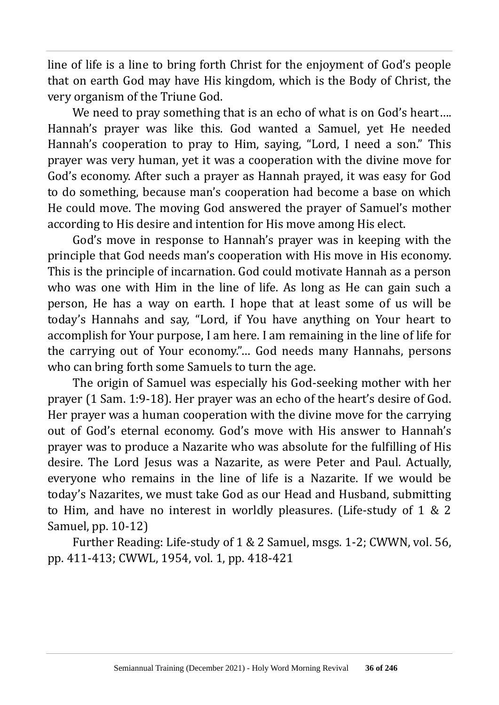line of life is a line to bring forth Christ for the enjoyment of God's people that on earth God may have His kingdom, which is the Body of Christ, the very organism of the Triune God.

We need to pray something that is an echo of what is on God's heart.... Hannah's prayer was like this. God wanted a Samuel, yet He needed Hannah's cooperation to pray to Him, saying, "Lord, I need a son." This prayer was very human, yet it was a cooperation with the divine move for God's economy. After such a prayer as Hannah prayed, it was easy for God to do something, because man's cooperation had become a base on which He could move. The moving God answered the prayer of Samuel's mother according to His desire and intention for His move among His elect.

God's move in response to Hannah's prayer was in keeping with the principle that God needs man's cooperation with His move in His economy. This is the principle of incarnation. God could motivate Hannah as a person who was one with Him in the line of life. As long as He can gain such a person, He has a way on earth. I hope that at least some of us will be today's Hannahs and say, "Lord, if You have anything on Your heart to accomplish for Your purpose, I am here. I am remaining in the line of life for the carrying out of Your economy."… God needs many Hannahs, persons who can bring forth some Samuels to turn the age.

The origin of Samuel was especially his God-seeking mother with her prayer (1 Sam. 1:9-18). Her prayer was an echo of the heart's desire of God. Her prayer was a human cooperation with the divine move for the carrying out of God's eternal economy. God's move with His answer to Hannah's prayer was to produce a Nazarite who was absolute for the fulfilling of His desire. The Lord Jesus was a Nazarite, as were Peter and Paul. Actually, everyone who remains in the line of life is a Nazarite. If we would be today's Nazarites, we must take God as our Head and Husband, submitting to Him, and have no interest in worldly pleasures. (Life-study of 1 & 2 Samuel, pp. 10-12)

Further Reading: Life-study of 1 & 2 Samuel, msgs. 1-2; CWWN, vol. 56, pp. 411-413; CWWL, 1954, vol. 1, pp. 418-421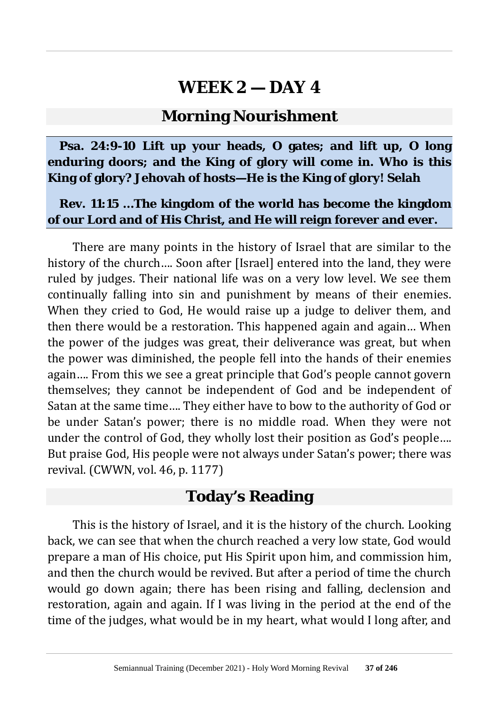#### **Morning Nourishment**

**Psa. 24:9-10 Lift up your heads, O gates; and lift up, O long enduring doors; and the King of glory will come in. Who is this King of glory? Jehovah of hosts—He is the King of glory! Selah**

#### **Rev. 11:15 …The kingdom of the world has become the kingdom of our Lord and of His Christ, and He will reign forever and ever.**

There are many points in the history of Israel that are similar to the history of the church.... Soon after [Israel] entered into the land, they were ruled by judges. Their national life was on a very low level. We see them continually falling into sin and punishment by means of their enemies. When they cried to God, He would raise up a judge to deliver them, and then there would be a restoration. This happened again and again… When the power of the judges was great, their deliverance was great, but when the power was diminished, the people fell into the hands of their enemies again…. From this we see a great principle that God's people cannot govern themselves; they cannot be independent of God and be independent of Satan at the same time…. They either have to bow to the authority of God or be under Satan's power; there is no middle road. When they were not under the control of God, they wholly lost their position as God's people…. But praise God, His people were not always under Satan's power; there was revival. (CWWN, vol. 46, p. 1177)

### **Today's Reading**

This is the history of Israel, and it is the history of the church. Looking back, we can see that when the church reached a very low state, God would prepare a man of His choice, put His Spirit upon him, and commission him, and then the church would be revived. But after a period of time the church would go down again; there has been rising and falling, declension and restoration, again and again. If I was living in the period at the end of the time of the judges, what would be in my heart, what would I long after, and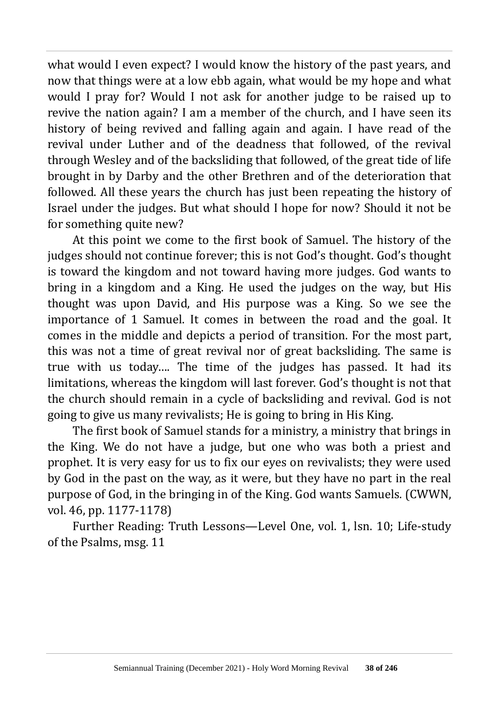what would I even expect? I would know the history of the past years, and now that things were at a low ebb again, what would be my hope and what would I pray for? Would I not ask for another judge to be raised up to revive the nation again? I am a member of the church, and I have seen its history of being revived and falling again and again. I have read of the revival under Luther and of the deadness that followed, of the revival through Wesley and of the backsliding that followed, of the great tide of life brought in by Darby and the other Brethren and of the deterioration that followed. All these years the church has just been repeating the history of Israel under the judges. But what should I hope for now? Should it not be for something quite new?

At this point we come to the first book of Samuel. The history of the judges should not continue forever; this is not God's thought. God's thought is toward the kingdom and not toward having more judges. God wants to bring in a kingdom and a King. He used the judges on the way, but His thought was upon David, and His purpose was a King. So we see the importance of 1 Samuel. It comes in between the road and the goal. It comes in the middle and depicts a period of transition. For the most part, this was not a time of great revival nor of great backsliding. The same is true with us today…. The time of the judges has passed. It had its limitations, whereas the kingdom will last forever. God's thought is not that the church should remain in a cycle of backsliding and revival. God is not going to give us many revivalists; He is going to bring in His King.

The first book of Samuel stands for a ministry, a ministry that brings in the King. We do not have a judge, but one who was both a priest and prophet. It is very easy for us to fix our eyes on revivalists; they were used by God in the past on the way, as it were, but they have no part in the real purpose of God, in the bringing in of the King. God wants Samuels. (CWWN, vol. 46, pp. 1177-1178)

Further Reading: Truth Lessons—Level One, vol. 1, lsn. 10; Life-study of the Psalms, msg. 11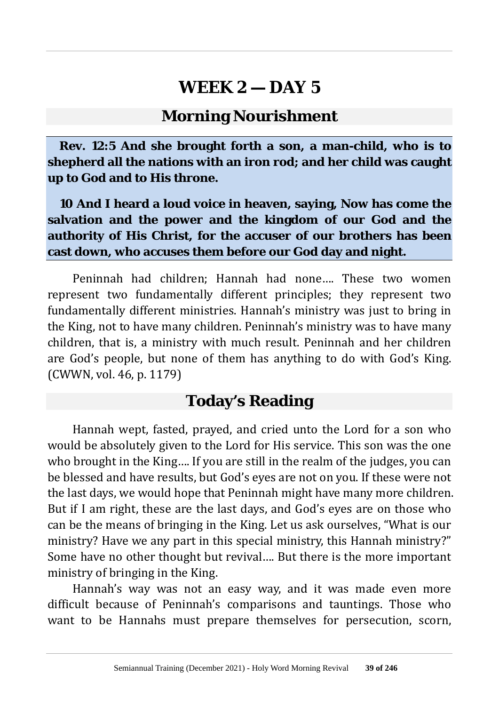#### **Morning Nourishment**

**Rev. 12:5 And she brought forth a son, a man-child, who is to shepherd all the nations with an iron rod; and her child was caught up to God and to His throne.**

**10 And I heard a loud voice in heaven, saying, Now has come the salvation and the power and the kingdom of our God and the authority of His Christ, for the accuser of our brothers has been cast down, who accuses them before our God day and night.**

Peninnah had children; Hannah had none…. These two women represent two fundamentally different principles; they represent two fundamentally different ministries. Hannah's ministry was just to bring in the King, not to have many children. Peninnah's ministry was to have many children, that is, a ministry with much result. Peninnah and her children are God's people, but none of them has anything to do with God's King. (CWWN, vol. 46, p. 1179)

#### **Today's Reading**

Hannah wept, fasted, prayed, and cried unto the Lord for a son who would be absolutely given to the Lord for His service. This son was the one who brought in the King…. If you are still in the realm of the judges, you can be blessed and have results, but God's eyes are not on you. If these were not the last days, we would hope that Peninnah might have many more children. But if I am right, these are the last days, and God's eyes are on those who can be the means of bringing in the King. Let us ask ourselves, "What is our ministry? Have we any part in this special ministry, this Hannah ministry?" Some have no other thought but revival…. But there is the more important ministry of bringing in the King.

Hannah's way was not an easy way, and it was made even more difficult because of Peninnah's comparisons and tauntings. Those who want to be Hannahs must prepare themselves for persecution, scorn,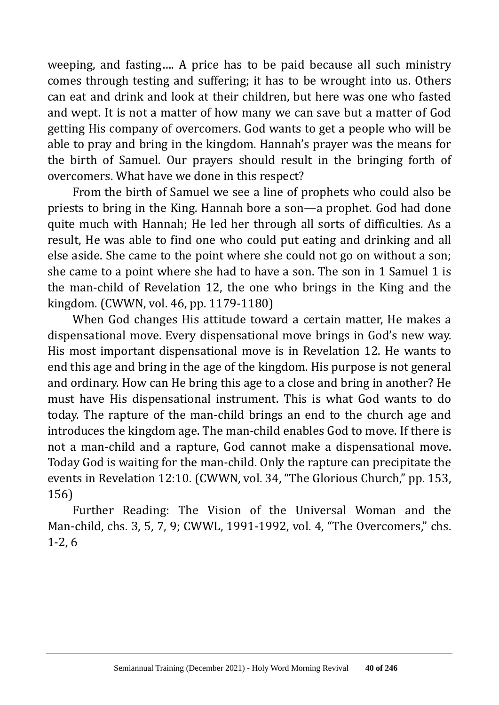weeping, and fasting…. A price has to be paid because all such ministry comes through testing and suffering; it has to be wrought into us. Others can eat and drink and look at their children, but here was one who fasted and wept. It is not a matter of how many we can save but a matter of God getting His company of overcomers. God wants to get a people who will be able to pray and bring in the kingdom. Hannah's prayer was the means for the birth of Samuel. Our prayers should result in the bringing forth of overcomers. What have we done in this respect?

From the birth of Samuel we see a line of prophets who could also be priests to bring in the King. Hannah bore a son—a prophet. God had done quite much with Hannah; He led her through all sorts of difficulties. As a result, He was able to find one who could put eating and drinking and all else aside. She came to the point where she could not go on without a son; she came to a point where she had to have a son. The son in 1 Samuel 1 is the man-child of Revelation 12, the one who brings in the King and the kingdom. (CWWN, vol. 46, pp. 1179-1180)

When God changes His attitude toward a certain matter, He makes a dispensational move. Every dispensational move brings in God's new way. His most important dispensational move is in Revelation 12. He wants to end this age and bring in the age of the kingdom. His purpose is not general and ordinary. How can He bring this age to a close and bring in another? He must have His dispensational instrument. This is what God wants to do today. The rapture of the man-child brings an end to the church age and introduces the kingdom age. The man-child enables God to move. If there is not a man-child and a rapture, God cannot make a dispensational move. Today God is waiting for the man-child. Only the rapture can precipitate the events in Revelation 12:10. (CWWN, vol. 34, "The Glorious Church," pp. 153, 156)

Further Reading: The Vision of the Universal Woman and the Man-child, chs. 3, 5, 7, 9; CWWL, 1991-1992, vol. 4, "The Overcomers," chs. 1-2, 6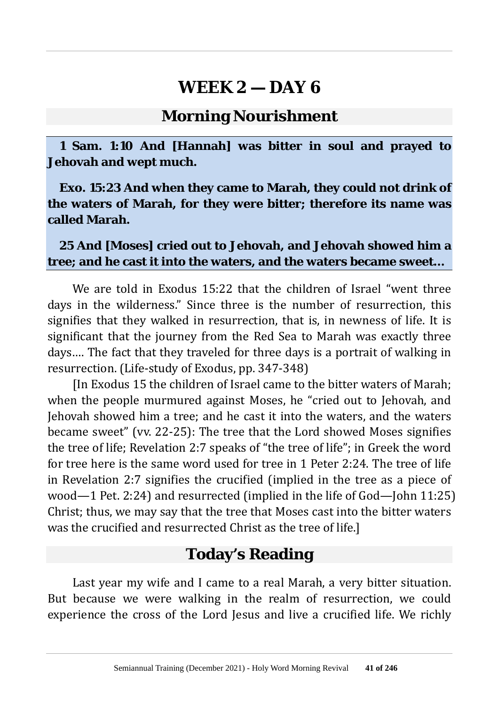#### **Morning Nourishment**

**1 Sam. 1:10 And [Hannah] was bitter in soul and prayed to Jehovah and wept much.**

**Exo. 15:23 And when they came to Marah, they could not drink of the waters of Marah, for they were bitter; therefore its name was called Marah.**

**25 And [Moses] cried out to Jehovah, and Jehovah showed him a tree; and he cast it into the waters, and the waters became sweet…**

We are told in Exodus 15:22 that the children of Israel "went three days in the wilderness." Since three is the number of resurrection, this signifies that they walked in resurrection, that is, in newness of life. It is significant that the journey from the Red Sea to Marah was exactly three days…. The fact that they traveled for three days is a portrait of walking in resurrection. (Life-study of Exodus, pp. 347-348)

[In Exodus 15 the children of Israel came to the bitter waters of Marah; when the people murmured against Moses, he "cried out to Jehovah, and Jehovah showed him a tree; and he cast it into the waters, and the waters became sweet" (vv. 22-25): The tree that the Lord showed Moses signifies the tree of life; Revelation 2:7 speaks of "the tree of life"; in Greek the word for tree here is the same word used for tree in 1 Peter 2:24. The tree of life in Revelation 2:7 signifies the crucified (implied in the tree as a piece of wood—1 Pet. 2:24) and resurrected (implied in the life of God—John 11:25) Christ; thus, we may say that the tree that Moses cast into the bitter waters was the crucified and resurrected Christ as the tree of life.]

#### **Today's Reading**

Last year my wife and I came to a real Marah, a very bitter situation. But because we were walking in the realm of resurrection, we could experience the cross of the Lord Jesus and live a crucified life. We richly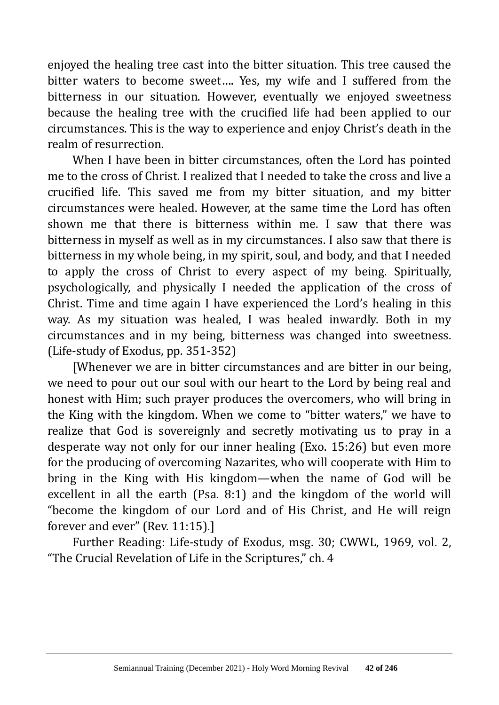enjoyed the healing tree cast into the bitter situation. This tree caused the bitter waters to become sweet…. Yes, my wife and I suffered from the bitterness in our situation. However, eventually we enjoyed sweetness because the healing tree with the crucified life had been applied to our circumstances. This is the way to experience and enjoy Christ's death in the realm of resurrection.

When I have been in bitter circumstances, often the Lord has pointed me to the cross of Christ. I realized that I needed to take the cross and live a crucified life. This saved me from my bitter situation, and my bitter circumstances were healed. However, at the same time the Lord has often shown me that there is bitterness within me. I saw that there was bitterness in myself as well as in my circumstances. I also saw that there is bitterness in my whole being, in my spirit, soul, and body, and that I needed to apply the cross of Christ to every aspect of my being. Spiritually, psychologically, and physically I needed the application of the cross of Christ. Time and time again I have experienced the Lord's healing in this way. As my situation was healed, I was healed inwardly. Both in my circumstances and in my being, bitterness was changed into sweetness. (Life-study of Exodus, pp. 351-352)

[Whenever we are in bitter circumstances and are bitter in our being, we need to pour out our soul with our heart to the Lord by being real and honest with Him; such prayer produces the overcomers, who will bring in the King with the kingdom. When we come to "bitter waters," we have to realize that God is sovereignly and secretly motivating us to pray in a desperate way not only for our inner healing (Exo. 15:26) but even more for the producing of overcoming Nazarites, who will cooperate with Him to bring in the King with His kingdom—when the name of God will be excellent in all the earth (Psa. 8:1) and the kingdom of the world will "become the kingdom of our Lord and of His Christ, and He will reign forever and ever" (Rev. 11:15).]

Further Reading: Life-study of Exodus, msg. 30; CWWL, 1969, vol. 2, "The Crucial Revelation of Life in the Scriptures," ch. 4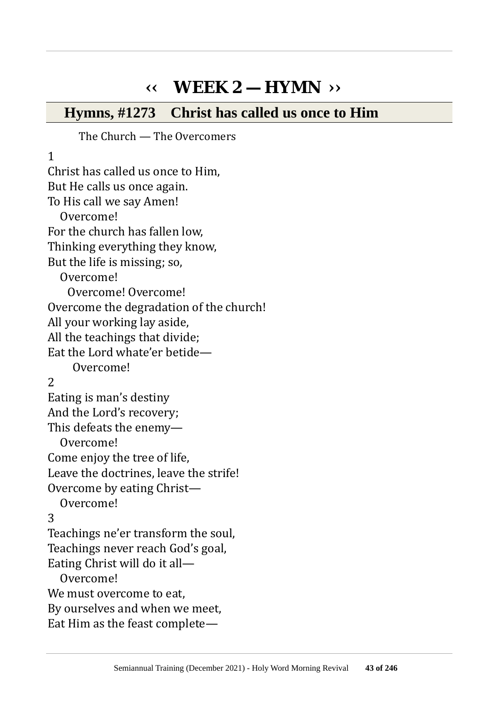# **‹‹ WEEK 2 — HYMN ››**

#### **Hymns, #1273 Christ has called us once to Him**

The Church — The Overcomers

1 Christ has called us once to Him, But He calls us once again. To His call we say Amen! Overcome! For the church has fallen low, Thinking everything they know, But the life is missing; so, Overcome! Overcome! Overcome! Overcome the degradation of the church! All your working lay aside, All the teachings that divide; Eat the Lord whate'er betide— Overcome! 2 Eating is man's destiny And the Lord's recovery; This defeats the enemy— Overcome! Come enjoy the tree of life, Leave the doctrines, leave the strife! Overcome by eating Christ— Overcome! 3 Teachings ne'er transform the soul, Teachings never reach God's goal, Eating Christ will do it all— Overcome! We must overcome to eat, By ourselves and when we meet, Eat Him as the feast complete